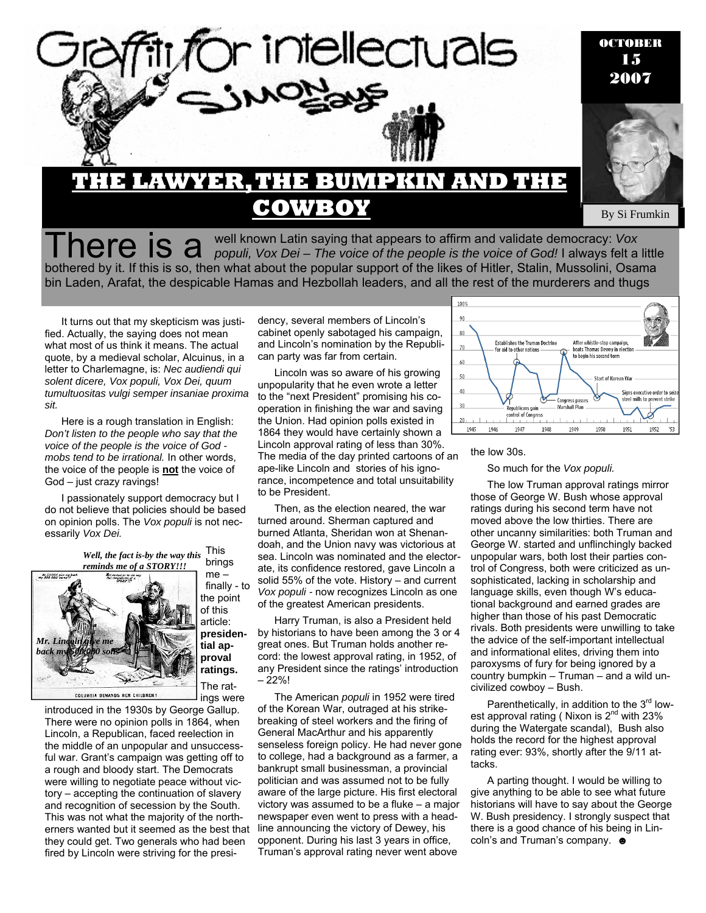

There is a well known Latin saying that appears to affirm and validate democracy: *Vox*<br> *populi, Vox Dei – The voice of the people is the voice of God!* I always felt a little bothered by it. If this is so, then what about the popular support of the likes of Hitler, Stalin, Mussolini, Osama bin Laden, Arafat, the despicable Hamas and Hezbollah leaders, and all the rest of the murderers and thugs

It turns out that my skepticism was justified. Actually, the saying does not mean what most of us think it means. The actual quote, by a medieval scholar, Alcuinus, in a letter to Charlemagne, is: *Nec audiendi qui solent dicere, Vox populi, Vox Dei, quum tumultuositas vulgi semper insaniae proxima sit.* 

Here is a rough translation in English: *Don't listen to the people who say that the voice of the people is the voice of God mobs tend to be irrational.* In other words, the voice of the people is **not** the voice of God – just crazy ravings!

I passionately support democracy but I do not believe that policies should be based on opinion polls. The *Vox populi* is not necessarily *Vox Dei.*

> This brings *Well, the fact is-by the way this reminds me of a STORY!!!*



me – finally - to the point of this article: **presidential approval ratings.**  The ratings were

introduced in the 1930s by George Gallup. There were no opinion polls in 1864, when Lincoln, a Republican, faced reelection in the middle of an unpopular and unsuccessful war. Grant's campaign was getting off to a rough and bloody start. The Democrats were willing to negotiate peace without victory – accepting the continuation of slavery and recognition of secession by the South. This was not what the majority of the northerners wanted but it seemed as the best that they could get. Two generals who had been fired by Lincoln were striving for the presi-

dency, several members of Lincoln's cabinet openly sabotaged his campaign, and Lincoln's nomination by the Republican party was far from certain.

Lincoln was so aware of his growing unpopularity that he even wrote a letter to the "next President" promising his cooperation in finishing the war and saving the Union. Had opinion polls existed in 1864 they would have certainly shown a Lincoln approval rating of less than 30%. The media of the day printed cartoons of an ape-like Lincoln and stories of his ignorance, incompetence and total unsuitability to be President.

Then, as the election neared, the war turned around. Sherman captured and burned Atlanta, Sheridan won at Shenandoah, and the Union navy was victorious at sea. Lincoln was nominated and the electorate, its confidence restored, gave Lincoln a solid 55% of the vote. History – and current *Vox populi -* now recognizes Lincoln as one of the greatest American presidents.

Harry Truman, is also a President held by historians to have been among the 3 or 4 great ones. But Truman holds another record: the lowest approval rating, in 1952, of any President since the ratings' introduction  $-22%!$ 

The American *populi* in 1952 were tired of the Korean War, outraged at his strikebreaking of steel workers and the firing of General MacArthur and his apparently senseless foreign policy. He had never gone to college, had a background as a farmer, a bankrupt small businessman, a provincial politician and was assumed not to be fully aware of the large picture. His first electoral victory was assumed to be a fluke – a major newspaper even went to press with a headline announcing the victory of Dewey, his opponent. During his last 3 years in office, Truman's approval rating never went above



#### the low 30s.

So much for the *Vox populi.* 

The low Truman approval ratings mirror those of George W. Bush whose approval ratings during his second term have not moved above the low thirties. There are other uncanny similarities: both Truman and George W. started and unflinchingly backed unpopular wars, both lost their parties control of Congress, both were criticized as unsophisticated, lacking in scholarship and language skills, even though W's educational background and earned grades are higher than those of his past Democratic rivals. Both presidents were unwilling to take the advice of the self-important intellectual and informational elites, driving them into paroxysms of fury for being ignored by a country bumpkin – Truman – and a wild uncivilized cowboy – Bush.

Parenthetically, in addition to the  $3<sup>rd</sup>$  lowest approval rating (Nixon is 2<sup>nd</sup> with 23% during the Watergate scandal), Bush also holds the record for the highest approval rating ever: 93%, shortly after the 9/11 attacks.

A parting thought. I would be willing to give anything to be able to see what future historians will have to say about the George W. Bush presidency. I strongly suspect that there is a good chance of his being in Lincoln's and Truman's company. ●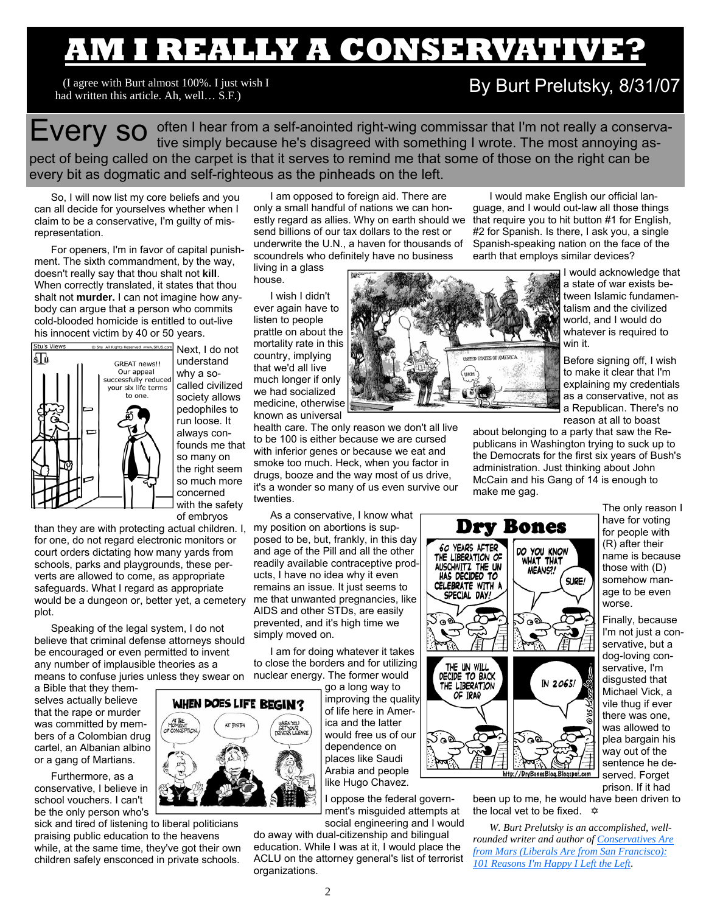# **AM I REALLY A CONSERVATIVE?**

I((I agree with Burt almost 100%. I just wish I had written this article. Ah, well… S.F.)

## By Burt Prelutsky, 8/31/07

EVery So often I hear from a self-anointed right-wing commissar that I'm not really a conserva-<br>EVery So tive simply because he's disagreed with something I wrote. The most annoying aspect of being called on the carpet is that it serves to remind me that some of those on the right can be every bit as dogmatic and self-righteous as the pinheads on the left.

So, I will now list my core beliefs and you can all decide for yourselves whether when I claim to be a conservative, I'm guilty of misrepresentation.

For openers, I'm in favor of capital punishment. The sixth commandment, by the way, doesn't really say that thou shalt not **kill**. When correctly translated, it states that thou shalt not **murder.** I can not imagine how anybody can argue that a person who commits cold-blooded homicide is entitled to out-live his innocent victim by 40 or 50 years.



Next, I do not understand why a socalled civilized society allows pedophiles to run loose. It always confounds me that so many on the right seem so much more concerned with the safety of embryos

than they are with protecting actual children. I, for one, do not regard electronic monitors or court orders dictating how many yards from schools, parks and playgrounds, these perverts are allowed to come, as appropriate safeguards. What I regard as appropriate would be a dungeon or, better yet, a cemetery plot.

Speaking of the legal system, I do not believe that criminal defense attorneys should be encouraged or even permitted to invent any number of implausible theories as a means to confuse juries unless they swear on

a Bible that they themselves actually believe that the rape or murder was committed by members of a Colombian drug cartel, an Albanian albino or a gang of Martians.

Furthermore, as a conservative, I believe in school vouchers. I can't be the only person who's

sick and tired of listening to liberal politicians praising public education to the heavens while, at the same time, they've got their own children safely ensconced in private schools.

I am opposed to foreign aid. There are only a small handful of nations we can honestly regard as allies. Why on earth should we send billions of our tax dollars to the rest or underwrite the U.N., a haven for thousands of scoundrels who definitely have no business

living in a glass house.

I wish I didn't ever again have to listen to people prattle on about the mortality rate in this country, implying that we'd all live much longer if only we had socialized medicine, otherwise known as universal

health care. The only reason we don't all live to be 100 is either because we are cursed with inferior genes or because we eat and smoke too much. Heck, when you factor in drugs, booze and the way most of us drive, it's a wonder so many of us even survive our twenties.

As a conservative, I know what my position on abortions is supposed to be, but, frankly, in this day and age of the Pill and all the other readily available contraceptive products, I have no idea why it even remains an issue. It just seems to me that unwanted pregnancies, like AIDS and other STDs, are easily prevented, and it's high time we simply moved on.

I am for doing whatever it takes to close the borders and for utilizing nuclear energy. The former would

> go a long way to improving the quality of life here in America and the latter would free us of our dependence on places like Saudi Arabia and people like Hugo Chavez.

I oppose the federal government's misguided attempts at social engineering and I would

do away with dual-citizenship and bilingual education. While I was at it, I would place the ACLU on the attorney general's list of terrorist organizations.



I would make English our official language, and I would out-law all those things that require you to hit button #1 for English, #2 for Spanish. Is there, I ask you, a single Spanish-speaking nation on the face of the earth that employs similar devices?

> I would acknowledge that a state of war exists between Islamic fundamentalism and the civilized world, and I would do whatever is required to win it.

> Before signing off, I wish to make it clear that I'm explaining my credentials as a conservative, not as a Republican. There's no reason at all to boast

about belonging to a party that saw the Republicans in Washington trying to suck up to the Democrats for the first six years of Bush's administration. Just thinking about John McCain and his Gang of 14 is enough to make me gag.



The only reason I have for voting for people with (R) after their name is because those with (D) somehow manage to be even worse.

Finally, because I'm not just a conservative, but a dog-loving conservative, I'm disgusted that Michael Vick, a vile thug if ever there was one, was allowed to plea bargain his way out of the sentence he deserved. Forget prison. If it had

been up to me, he would have been driven to the local vet to be fixed.  $\hat{\varphi}$ 

*W. Burt Prelutsky is an accomplished, wellrounded writer and author of Conservatives Are from Mars (Liberals Are from San Francisco): 101 Reasons I'm Happy I Left the Left*.

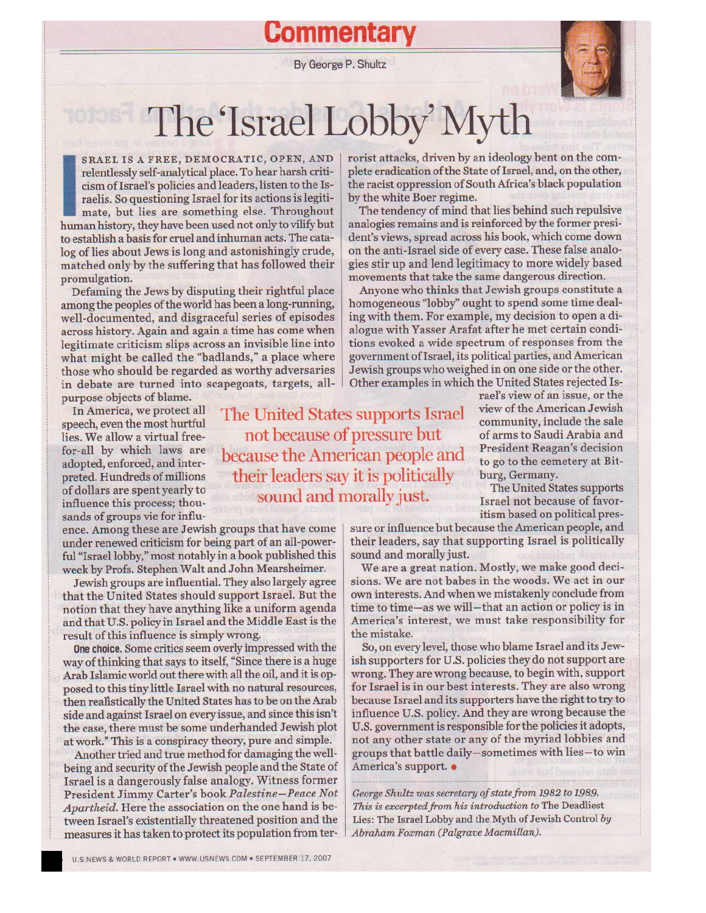**Commentar** 

By George P. Shultz



The Israel Lobby' Myth

The United States supports Israel

not because of pressure but

because the American people and

their leaders say it is politically

sound and morally just.

SRAEL IS A FREE, DEMOCRATIC, OPEN, AND relentlessly self-analytical place. To hear harsh criticism of Israel's policies and leaders, listen to the Israelis. So questioning Israel for its actions is legitimate, but lies are something else. Throughout human history, they have been used not only to vilify but to establish a basis for cruel and inhuman acts. The catalog of lies about Jews is long and astonishingly crude, matched only by the suffering that has followed their promulgation.

Defaming the Jews by disputing their rightful place among the peoples of the world has been a long-running, well-documented, and disgraceful series of episodes across history. Again and again a time has come when legitimate criticism slips across an invisible line into what might be called the "badlands," a place where those who should be regarded as worthy adversaries in debate are turned into scapegoats, targets, allpurpose objects of blame.

In America, we protect all speech, even the most hurtful lies. We allow a virtual freefor-all by which laws are adopted, enforced, and interpreted. Hundreds of millions of dollars are spent yearly to influence this process; thousands of groups vie for influ-

ence. Among these are Jewish groups that have come under renewed criticism for being part of an all-powerful "Israel lobby," most notably in a book published this week by Profs. Stephen Walt and John Mearsheimer.

Jewish groups are influential. They also largely agree that the United States should support Israel. But the notion that they have anything like a uniform agenda and that U.S. policy in Israel and the Middle East is the result of this influence is simply wrong.

One choice. Some critics seem overly impressed with the way of thinking that says to itself, "Since there is a huge Arab Islamic world out there with all the oil, and it is opposed to this tiny little Israel with no natural resources, then realistically the United States has to be on the Arab side and against Israel on every issue, and since this isn't the case, there must be some underhanded Jewish plot at work." This is a conspiracy theory, pure and simple.

Another tried and true method for damaging the wellbeing and security of the Jewish people and the State of Israel is a dangerously false analogy. Witness former President Jimmy Carter's book Palestine-Peace Not Apartheid. Here the association on the one hand is between Israel's existentially threatened position and the measures it has taken to protect its population from terrorist attacks, driven by an ideology bent on the complete eradication of the State of Israel, and, on the other, the racist oppression of South Africa's black population by the white Boer regime.

The tendency of mind that lies behind such repulsive analogies remains and is reinforced by the former president's views, spread across his book, which come down on the anti-Israel side of every case. These false analogies stir up and lend legitimacy to more widely based movements that take the same dangerous direction.

Anyone who thinks that Jewish groups constitute a homogeneous "lobby" ought to spend some time dealing with them. For example, my decision to open a dialogue with Yasser Arafat after he met certain conditions evoked a wide spectrum of responses from the government of Israel, its political parties, and American Jewish groups who weighed in on one side or the other. Other examples in which the United States rejected Is-

rael's view of an issue, or the view of the American Jewish community, include the sale of arms to Saudi Arabia and **President Reagan's decision** to go to the cemetery at Bitburg, Germany.

The United States supports Israel not because of favoritism based on political pres-

sure or influence but because the American people, and their leaders, say that supporting Israel is politically sound and morally just.

We are a great nation. Mostly, we make good decisions. We are not babes in the woods. We act in our own interests. And when we mistakenly conclude from time to time-as we will-that an action or policy is in America's interest, we must take responsibility for the mistake.

So, on every level, those who blame Israel and its Jewish supporters for U.S. policies they do not support are wrong. They are wrong because, to begin with, support for Israel is in our best interests. They are also wrong because Israel and its supporters have the right to try to influence U.S. policy. And they are wrong because the U.S. government is responsible for the policies it adopts, not any other state or any of the myriad lobbies and groups that battle daily-sometimes with lies-to win America's support. .

George Shultz was secretary of state from 1982 to 1989. This is excerpted from his introduction to The Deadliest Lies: The Israel Lobby and the Myth of Jewish Control by Abraham Foxman (Palgrave Macmillan).